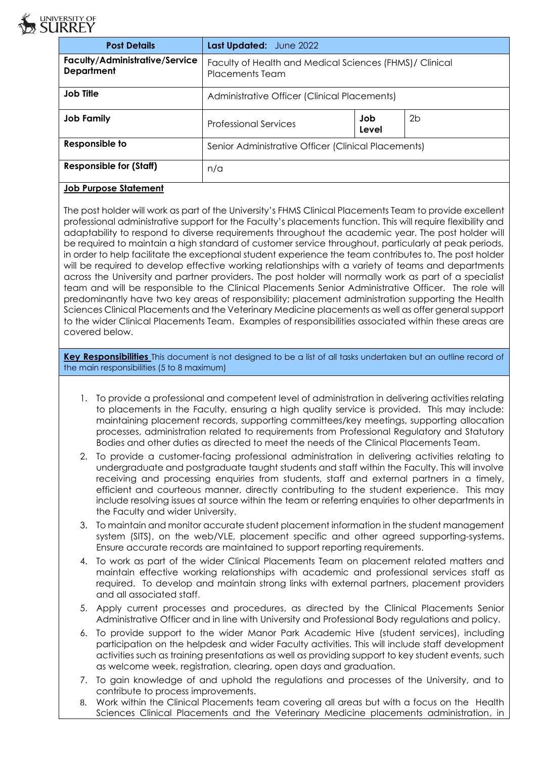

| <b>Post Details</b>                                        | Last Updated: June 2022                                                           |              |    |
|------------------------------------------------------------|-----------------------------------------------------------------------------------|--------------|----|
| <b>Faculty/Administrative/Service</b><br><b>Department</b> | Faculty of Health and Medical Sciences (FHMS)/ Clinical<br><b>Placements Team</b> |              |    |
| <b>Job Title</b>                                           | Administrative Officer (Clinical Placements)                                      |              |    |
| Job Family                                                 | <b>Professional Services</b>                                                      | Job<br>Level | 2b |
| Responsible to                                             | Senior Administrative Officer (Clinical Placements)                               |              |    |
| <b>Responsible for (Staff)</b>                             | n/a                                                                               |              |    |
| .                                                          |                                                                                   |              |    |

## **Job Purpose Statement**

The post holder will work as part of the University's FHMS Clinical Placements Team to provide excellent professional administrative support for the Faculty's placements function. This will require flexibility and adaptability to respond to diverse requirements throughout the academic year. The post holder will be required to maintain a high standard of customer service throughout, particularly at peak periods, in order to help facilitate the exceptional student experience the team contributes to. The post holder will be required to develop effective working relationships with a variety of teams and departments across the University and partner providers. The post holder will normally work as part of a specialist team and will be responsible to the Clinical Placements Senior Administrative Officer. The role will predominantly have two key areas of responsibility; placement administration supporting the Health Sciences Clinical Placements and the Veterinary Medicine placements as well as offer general support to the wider Clinical Placements Team. Examples of responsibilities associated within these areas are covered below.

**Key Responsibilities** This document is not designed to be a list of all tasks undertaken but an outline record of the main responsibilities (5 to 8 maximum)

- 1. To provide a professional and competent level of administration in delivering activities relating to placements in the Faculty, ensuring a high quality service is provided. This may include: maintaining placement records, supporting committees/key meetings, supporting allocation processes, administration related to requirements from Professional Regulatory and Statutory Bodies and other duties as directed to meet the needs of the Clinical Placements Team.
- 2. To provide a customer-facing professional administration in delivering activities relating to undergraduate and postgraduate taught students and staff within the Faculty. This will involve receiving and processing enquiries from students, staff and external partners in a timely, efficient and courteous manner, directly contributing to the student experience. This may include resolving issues at source within the team or referring enquiries to other departments in the Faculty and wider University.
- 3. To maintain and monitor accurate student placement information in the student management system (SITS), on the web/VLE, placement specific and other agreed supporting-systems. Ensure accurate records are maintained to support reporting requirements.
- 4. To work as part of the wider Clinical Placements Team on placement related matters and maintain effective working relationships with academic and professional services staff as required. To develop and maintain strong links with external partners, placement providers and all associated staff.
- 5. Apply current processes and procedures, as directed by the Clinical Placements Senior Administrative Officer and in line with University and Professional Body regulations and policy.
- 6. To provide support to the wider Manor Park Academic Hive (student services), including participation on the helpdesk and wider Faculty activities. This will include staff development activities such as training presentations as well as providing support to key student events, such as welcome week, registration, clearing, open days and graduation.
- 7. To gain knowledge of and uphold the regulations and processes of the University, and to contribute to process improvements.
- 8. Work within the Clinical Placements team covering all areas but with a focus on the Health Sciences Clinical Placements and the Veterinary Medicine placements administration, in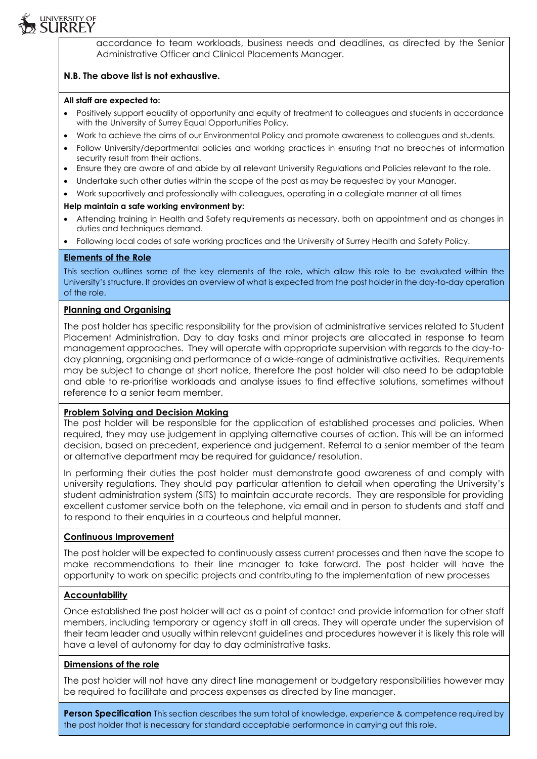

# **N.B. The above list is not exhaustive.**

#### **All staff are expected to:**

university of<br>**SURREY** 

- Positively support equality of opportunity and equity of treatment to colleagues and students in accordance with the University of Surrey Equal Opportunities Policy.
- Work to achieve the aims of our Environmental Policy and promote awareness to colleagues and students.
- Follow University/departmental policies and working practices in ensuring that no breaches of information security result from their actions.
- Ensure they are aware of and abide by all relevant University Regulations and Policies relevant to the role.
- Undertake such other duties within the scope of the post as may be requested by your Manager.
- Work supportively and professionally with colleagues, operating in a collegiate manner at all times

#### **Help maintain a safe working environment by:**

- Attending training in Health and Safety requirements as necessary, both on appointment and as changes in duties and techniques demand.
- Following local codes of safe working practices and the University of Surrey Health and Safety Policy.

## **Elements of the Role**

This section outlines some of the key elements of the role, which allow this role to be evaluated within the University's structure. It provides an overview of what is expected from the post holder in the day-to-day operation of the role.

#### **Planning and Organising**

The post holder has specific responsibility for the provision of administrative services related to Student Placement Administration. Day to day tasks and minor projects are allocated in response to team management approaches. They will operate with appropriate supervision with regards to the day-today planning, organising and performance of a wide-range of administrative activities. Requirements may be subject to change at short notice, therefore the post holder will also need to be adaptable and able to re-prioritise workloads and analyse issues to find effective solutions, sometimes without reference to a senior team member.

## **Problem Solving and Decision Making**

The post holder will be responsible for the application of established processes and policies. When required, they may use judgement in applying alternative courses of action. This will be an informed decision, based on precedent, experience and judgement. Referral to a senior member of the team or alternative department may be required for guidance/ resolution.

In performing their duties the post holder must demonstrate good awareness of and comply with university regulations. They should pay particular attention to detail when operating the University's student administration system (SITS) to maintain accurate records. They are responsible for providing excellent customer service both on the telephone, via email and in person to students and staff and to respond to their enquiries in a courteous and helpful manner.

## **Continuous Improvement**

The post holder will be expected to continuously assess current processes and then have the scope to make recommendations to their line manager to take forward. The post holder will have the opportunity to work on specific projects and contributing to the implementation of new processes

## **Accountability**

Once established the post holder will act as a point of contact and provide information for other staff members, including temporary or agency staff in all areas. They will operate under the supervision of their team leader and usually within relevant guidelines and procedures however it is likely this role will have a level of autonomy for day to day administrative tasks.

## **Dimensions of the role**

The post holder will not have any direct line management or budgetary responsibilities however may be required to facilitate and process expenses as directed by line manager.

**Person Specification** This section describes the sum total of knowledge, experience & competence required by the post holder that is necessary for standard acceptable performance in carrying out this role.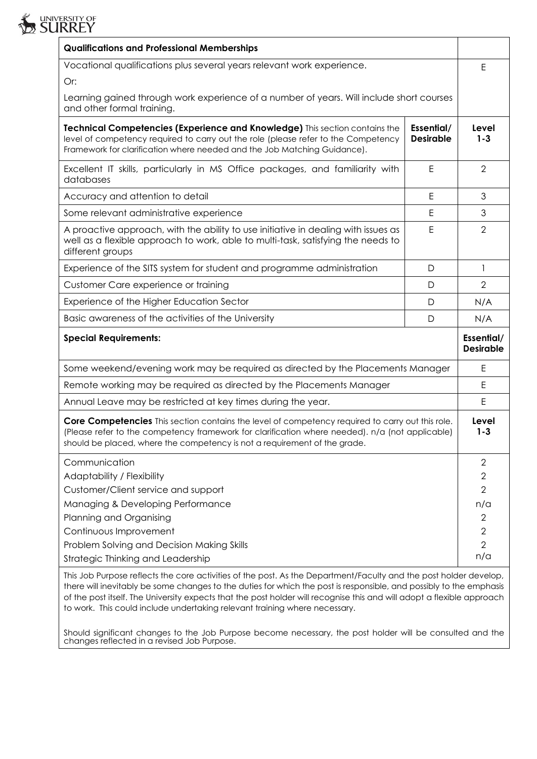| 29 SUKKEY                                                                                                                                                                                                                                                                        |                                |                                  |  |
|----------------------------------------------------------------------------------------------------------------------------------------------------------------------------------------------------------------------------------------------------------------------------------|--------------------------------|----------------------------------|--|
| <b>Qualifications and Professional Memberships</b>                                                                                                                                                                                                                               |                                |                                  |  |
| Vocational qualifications plus several years relevant work experience.                                                                                                                                                                                                           |                                |                                  |  |
| Or:                                                                                                                                                                                                                                                                              |                                |                                  |  |
| Learning gained through work experience of a number of years. Will include short courses<br>and other formal training.                                                                                                                                                           |                                |                                  |  |
| Technical Competencies (Experience and Knowledge) This section contains the<br>level of competency required to carry out the role (please refer to the Competency<br>Framework for clarification where needed and the Job Matching Guidance).                                    | Essential/<br><b>Desirable</b> | Level<br>$1 - 3$                 |  |
| Excellent IT skills, particularly in MS Office packages, and familiarity with<br>databases                                                                                                                                                                                       | E                              | 2                                |  |
| Accuracy and attention to detail                                                                                                                                                                                                                                                 | E                              | 3                                |  |
| Some relevant administrative experience                                                                                                                                                                                                                                          | E                              | 3                                |  |
| A proactive approach, with the ability to use initiative in dealing with issues as<br>well as a flexible approach to work, able to multi-task, satisfying the needs to<br>different groups                                                                                       | Ε                              | $\overline{2}$                   |  |
| Experience of the SITS system for student and programme administration                                                                                                                                                                                                           | D                              | $\mathbf{1}$                     |  |
| Customer Care experience or training                                                                                                                                                                                                                                             | D                              | $\overline{2}$                   |  |
| Experience of the Higher Education Sector                                                                                                                                                                                                                                        | D                              | N/A                              |  |
| Basic awareness of the activities of the University                                                                                                                                                                                                                              | D                              | N/A                              |  |
| <b>Special Requirements:</b>                                                                                                                                                                                                                                                     |                                | Essential/<br><b>Desirable</b>   |  |
| Some weekend/evening work may be required as directed by the Placements Manager                                                                                                                                                                                                  |                                |                                  |  |
| Remote working may be required as directed by the Placements Manager                                                                                                                                                                                                             |                                |                                  |  |
| Annual Leave may be restricted at key times during the year.                                                                                                                                                                                                                     |                                |                                  |  |
| Core Competencies This section contains the level of competency required to carry out this role.<br>(Please refer to the competency framework for clarification where needed). n/a (not applicable)<br>should be placed, where the competency is not a requirement of the grade. |                                | Level<br>$1 - 3$                 |  |
| Communication                                                                                                                                                                                                                                                                    |                                | $\overline{2}$                   |  |
| Adaptability / Flexibility                                                                                                                                                                                                                                                       |                                | $\mathbf{2}$                     |  |
| Customer/Client service and support                                                                                                                                                                                                                                              |                                | $\overline{2}$                   |  |
| Managing & Developing Performance                                                                                                                                                                                                                                                |                                | n/a                              |  |
| Planning and Organising                                                                                                                                                                                                                                                          |                                | 2                                |  |
| Continuous Improvement<br>Problem Solving and Decision Making Skills                                                                                                                                                                                                             |                                | $\overline{2}$<br>$\overline{2}$ |  |
| Strategic Thinking and Leadership                                                                                                                                                                                                                                                |                                | n/a                              |  |
|                                                                                                                                                                                                                                                                                  |                                |                                  |  |

UNIVERSITY OF

This Job Purpose reflects the core activities of the post. As the Department/Faculty and the post holder develop, there will inevitably be some changes to the duties for which the post is responsible, and possibly to the emphasis of the post itself. The University expects that the post holder will recognise this and will adopt a flexible approach to work. This could include undertaking relevant training where necessary.

Should significant changes to the Job Purpose become necessary, the post holder will be consulted and the changes reflected in a revised Job Purpose.